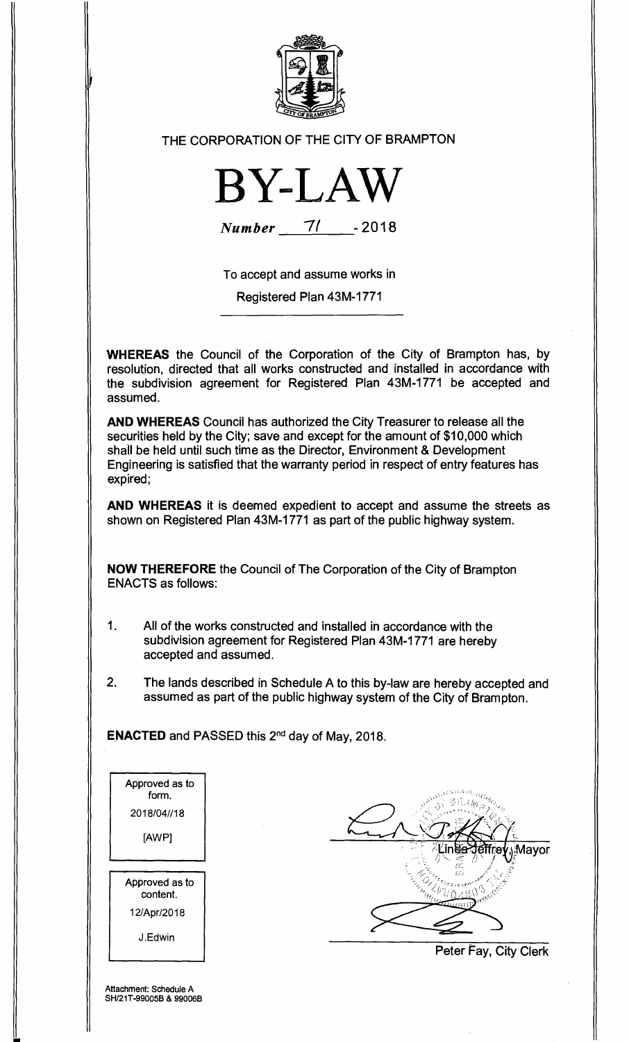

## THE CORPORATION OF THE CITY OF BRAMPTON



**Number** 71 - 2018

To accept and assume works in

Registered Plan 43M-1771

**WHEREAS** the Council of the Corporation of the City of Brampton has, by resolution, directed that all works constructed and installed in accordance with the subdivision agreement for Registered Plan 43M-1771 be accepted and assumed.

**AND WHEREAS** Council has authorized the City Treasurer to release all the securities held by the City; save and except for the amount of \$10,000 which shall be held until such time as the Director, Environment & Development Engineering is satisfied that the warranty period in respect of entry features has expired;

**AND WHEREAS** it is deemed expedient to accept and assume the streets as shown on Registered Plan 43M-1771 as part of the public highway system.

**NOW THEREFORE** the Council of The Corporation of the City of Brampton ENACTS as follows:

- 1. All of the works constructed and installed in accordance with the subdivision agreement for Registered Plan 43M-1771 are hereby accepted and assumed.
- 2. The lands described in Schedule A to this by-law are hereby accepted and assumed as part of the public highway system of the City of Brampton.

**ENACTED** and PASSED this 2<sup>nd</sup> day of May, 2018.

| Approved as to<br>form.    |  |
|----------------------------|--|
| 2018/04//18                |  |
| [AWP]                      |  |
|                            |  |
|                            |  |
| Approved as to<br>content. |  |
| 12/Apr/2018                |  |

Mayor

Peter Fay, City Clerk

Attachment: Schedule A SH/21T-99005B & 99006B

||<br>||